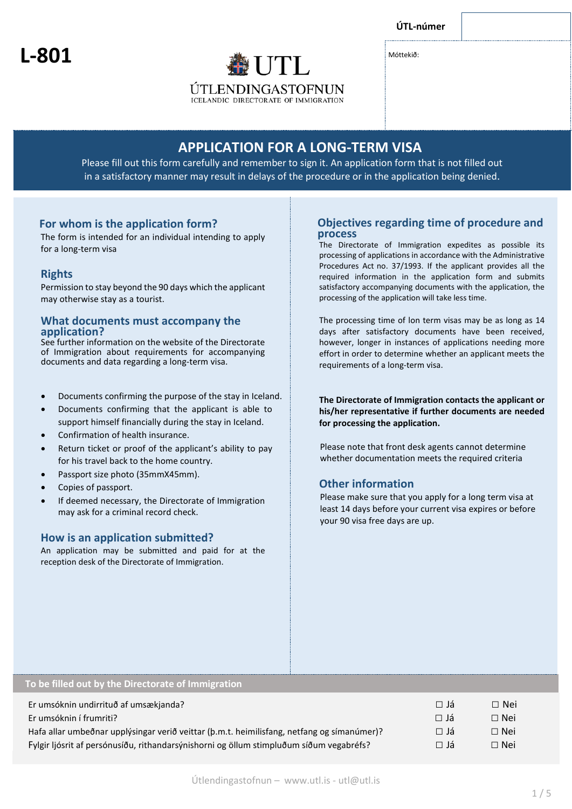**ÚTL-númer**

**P**

**L-801**

Móttekið:

# **APPLICATION FOR A LONG-TERM VISA**

Please fill out this form carefully and remember to sign it. An application form that is not filled out in a satisfactory manner may result in delays of the procedure or in the application being denied.

**ÚTLENDINGASTOFNUN ICELANDIC DIRECTORATE OF IMMIGRATION** 

# **For whom is the application form?**

The form is intended for an individual intending to apply for a long-term visa

# **Rights**

Permission to stay beyond the 90 days which the applicant may otherwise stay as a tourist.

# **What documents must accompany the application?**

See further information on the website of the Directorate of Immigration about requirements for accompanying documents and data regarding a long-term visa.

• Documents confirming the purpose of the stay in Iceland.

- Documents confirming that the applicant is able to support himself financially during the stay in Iceland.
- Confirmation of health insurance.
- Return ticket or proof of the applicant's ability to pay for his travel back to the home country.
- Passport size photo (35mmX45mm).
- Copies of passport.
- If deemed necessary, the Directorate of Immigration may ask for a criminal record check.

# **How is an application submitted?**

An application may be submitted and paid for at the reception desk of the Directorate of Immigration.

# **Objectives regarding time of procedure and process**

The Directorate of Immigration expedites as possible its processing of applications in accordance with the Administrative Procedures Act no. 37/1993. If the applicant provides all the required information in the application form and submits satisfactory accompanying documents with the application, the processing of the application will take less time.

The processing time of lon term visas may be as long as 14 days after satisfactory documents have been received, however, longer in instances of applications needing more effort in order to determine whether an applicant meets the requirements of a long-term visa.

**The Directorate of Immigration contacts the applicant or his/her representative if further documents are needed for processing the application.**

Please note that front desk agents cannot determine whether documentation meets the required criteria

# **Other information**

Please make sure that you apply for a long term visa at least 14 days before your current visa expires or before your 90 visa free days are up.

# **To be filled out by the Directorate of Immigration**

| Er umsóknin undirrituð af umsækjanda?                                                      | ∩ Já      | □ Nei      |
|--------------------------------------------------------------------------------------------|-----------|------------|
| Er umsóknin í frumriti?                                                                    | ∣⊟ Já     | $\Box$ Nei |
| Hafa allar umbeðnar upplýsingar verið veittar (þ.m.t. heimilisfang, netfang og símanúmer)? | $\Box$ Já | □ Nei      |
| Fylgir ljósrit af persónusíðu, rithandarsýnishorni og öllum stimpluðum síðum vegabréfs?    | $\Box$ Já | □ Nei      |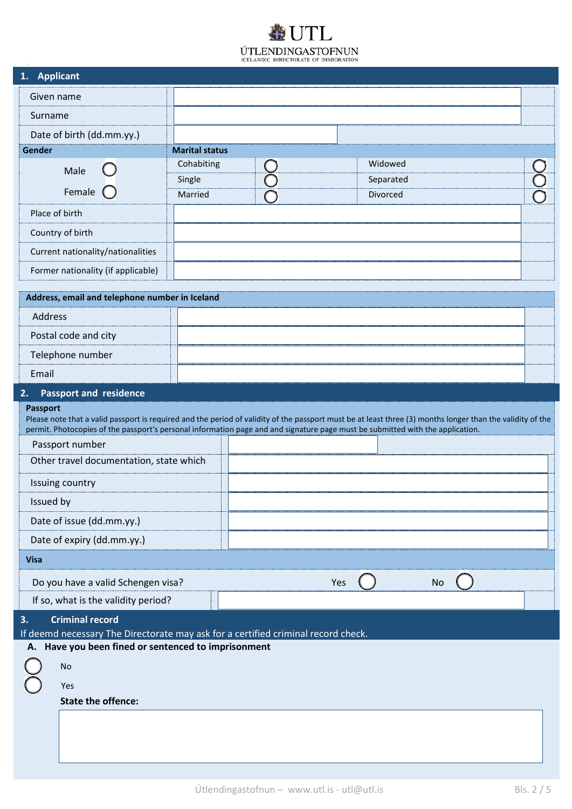# UTL  $\label{eq:UTLENDINGASTOFNUM} \hspace{-0.5cm}\textbf{UTLENDINGASTOFNUM}\xspace\hspace{-0.5cm}\textbf{CELANDIC DIRECTORATE OF IMMIGRATION}$

| 1. Applicant                                                                                                                                                                                                                                                                                                                                                                                                                                                                                                                                                                                                                    |                       |  |  |           |  |  |
|---------------------------------------------------------------------------------------------------------------------------------------------------------------------------------------------------------------------------------------------------------------------------------------------------------------------------------------------------------------------------------------------------------------------------------------------------------------------------------------------------------------------------------------------------------------------------------------------------------------------------------|-----------------------|--|--|-----------|--|--|
| Given name                                                                                                                                                                                                                                                                                                                                                                                                                                                                                                                                                                                                                      |                       |  |  |           |  |  |
| Surname                                                                                                                                                                                                                                                                                                                                                                                                                                                                                                                                                                                                                         |                       |  |  |           |  |  |
| Date of birth (dd.mm.yy.)                                                                                                                                                                                                                                                                                                                                                                                                                                                                                                                                                                                                       |                       |  |  |           |  |  |
| Gender                                                                                                                                                                                                                                                                                                                                                                                                                                                                                                                                                                                                                          | <b>Marital status</b> |  |  |           |  |  |
| Male                                                                                                                                                                                                                                                                                                                                                                                                                                                                                                                                                                                                                            | Cohabiting            |  |  | Widowed   |  |  |
|                                                                                                                                                                                                                                                                                                                                                                                                                                                                                                                                                                                                                                 | Single                |  |  | Separated |  |  |
| Female                                                                                                                                                                                                                                                                                                                                                                                                                                                                                                                                                                                                                          | Married               |  |  | Divorced  |  |  |
| Place of birth                                                                                                                                                                                                                                                                                                                                                                                                                                                                                                                                                                                                                  |                       |  |  |           |  |  |
| Country of birth                                                                                                                                                                                                                                                                                                                                                                                                                                                                                                                                                                                                                |                       |  |  |           |  |  |
| Current nationality/nationalities                                                                                                                                                                                                                                                                                                                                                                                                                                                                                                                                                                                               |                       |  |  |           |  |  |
| Former nationality (if applicable)                                                                                                                                                                                                                                                                                                                                                                                                                                                                                                                                                                                              |                       |  |  |           |  |  |
| Address, email and telephone number in Iceland                                                                                                                                                                                                                                                                                                                                                                                                                                                                                                                                                                                  |                       |  |  |           |  |  |
| Address                                                                                                                                                                                                                                                                                                                                                                                                                                                                                                                                                                                                                         |                       |  |  |           |  |  |
| Postal code and city                                                                                                                                                                                                                                                                                                                                                                                                                                                                                                                                                                                                            |                       |  |  |           |  |  |
| Telephone number                                                                                                                                                                                                                                                                                                                                                                                                                                                                                                                                                                                                                |                       |  |  |           |  |  |
| Email                                                                                                                                                                                                                                                                                                                                                                                                                                                                                                                                                                                                                           |                       |  |  |           |  |  |
| <b>Passport and residence</b><br>2.<br><b>Passport</b><br>Please note that a valid passport is required and the period of validity of the passport must be at least three (3) months longer than the validity of the<br>permit. Photocopies of the passport's personal information page and and signature page must be submitted with the application.<br>Passport number<br>Other travel documentation, state which<br>Issuing country<br>Issued by<br>Date of issue (dd.mm.yy.)<br>Date of expiry (dd.mm.yy.)<br><b>Visa</b><br>Do you have a valid Schengen visa?<br><b>No</b><br>Yes<br>If so, what is the validity period? |                       |  |  |           |  |  |
| <b>Criminal record</b><br>3.                                                                                                                                                                                                                                                                                                                                                                                                                                                                                                                                                                                                    |                       |  |  |           |  |  |
| If deemd necessary The Directorate may ask for a certified criminal record check.                                                                                                                                                                                                                                                                                                                                                                                                                                                                                                                                               |                       |  |  |           |  |  |
| A. Have you been fined or sentenced to imprisonment                                                                                                                                                                                                                                                                                                                                                                                                                                                                                                                                                                             |                       |  |  |           |  |  |
| No                                                                                                                                                                                                                                                                                                                                                                                                                                                                                                                                                                                                                              |                       |  |  |           |  |  |
| Yes                                                                                                                                                                                                                                                                                                                                                                                                                                                                                                                                                                                                                             |                       |  |  |           |  |  |
| <b>State the offence:</b>                                                                                                                                                                                                                                                                                                                                                                                                                                                                                                                                                                                                       |                       |  |  |           |  |  |
|                                                                                                                                                                                                                                                                                                                                                                                                                                                                                                                                                                                                                                 |                       |  |  |           |  |  |
|                                                                                                                                                                                                                                                                                                                                                                                                                                                                                                                                                                                                                                 |                       |  |  |           |  |  |
|                                                                                                                                                                                                                                                                                                                                                                                                                                                                                                                                                                                                                                 |                       |  |  |           |  |  |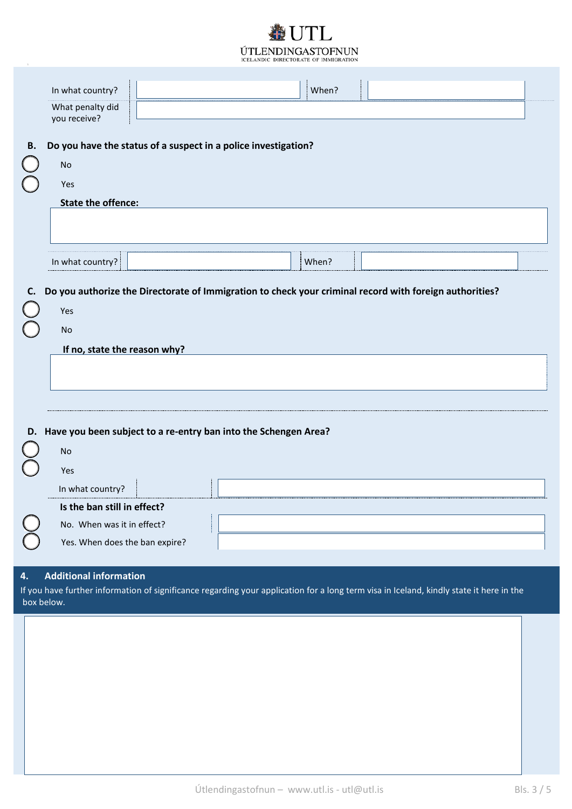# $TTL$ ÚTLENDINGASTOFNUN ICELANDIC DIRECTORATE OF IMMIGRATION

| In what country? | When?              |
|------------------|--------------------|
| What penalty did | ------------------ |
| you receive?     |                    |

# B. Do you have the status of a suspect in a police investigation?

| <b>No</b>                 |       |
|---------------------------|-------|
| Yes                       |       |
| <b>State the offence:</b> |       |
|                           |       |
|                           |       |
|                           |       |
| In what country?          | When? |

# C. Do you authorize the Directorate of Immigration to check your criminal record with foreign authorities?

| Yes                          |
|------------------------------|
| <b>No</b>                    |
| If no, state the reason why? |
|                              |
|                              |
|                              |
|                              |

# D. Have you been subject to a re-entry ban into the Schengen Area?

| <b>No</b>                      |  |
|--------------------------------|--|
| Yes                            |  |
| In what country?               |  |
| Is the ban still in effect?    |  |
| No. When was it in effect?     |  |
| Yes. When does the ban expire? |  |
|                                |  |

#### **Additional information**  $\overline{4}$ .

T.

If you have further information of significance regarding your application for a long term visa in Iceland, kindly state it here in the box below.

T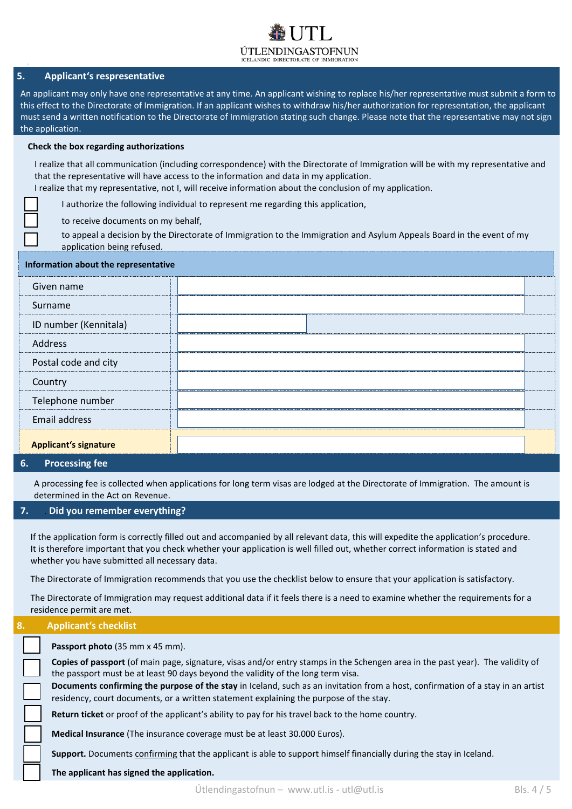# ÚTLENDINGASTOFNUN

# **5. Applicant's respresentative**

An applicant may only have one representative at any time. An applicant wishing to replace his/her representative must submit a form to this effect to the Directorate of Immigration. If an applicant wishes to withdraw his/her authorization for representation, the applicant must send a written notification to the Directorate of Immigration stating such change. Please note that the representative may not sign the application.

### **Check the box regarding authorizations**

|                                      | I realize that all communication (including correspondence) with the Directorate of Immigration will be with my representative and<br>that the representative will have access to the information and data in my application.<br>I realize that my representative, not I, will receive information about the conclusion of my application. |  |  |
|--------------------------------------|--------------------------------------------------------------------------------------------------------------------------------------------------------------------------------------------------------------------------------------------------------------------------------------------------------------------------------------------|--|--|
|                                      | I authorize the following individual to represent me regarding this application,                                                                                                                                                                                                                                                           |  |  |
| to receive documents on my behalf,   |                                                                                                                                                                                                                                                                                                                                            |  |  |
| application being refused.           | to appeal a decision by the Directorate of Immigration to the Immigration and Asylum Appeals Board in the event of my                                                                                                                                                                                                                      |  |  |
| Information about the representative |                                                                                                                                                                                                                                                                                                                                            |  |  |
| Given name                           |                                                                                                                                                                                                                                                                                                                                            |  |  |
| Surname                              |                                                                                                                                                                                                                                                                                                                                            |  |  |
| ID number (Kennitala)                |                                                                                                                                                                                                                                                                                                                                            |  |  |
| Address                              |                                                                                                                                                                                                                                                                                                                                            |  |  |
| Postal code and city                 |                                                                                                                                                                                                                                                                                                                                            |  |  |
| Country                              |                                                                                                                                                                                                                                                                                                                                            |  |  |
| Telephone number                     |                                                                                                                                                                                                                                                                                                                                            |  |  |
| <b>Email address</b>                 |                                                                                                                                                                                                                                                                                                                                            |  |  |
| Annlicant's signature                |                                                                                                                                                                                                                                                                                                                                            |  |  |

## **Applicant's signature**

# **6. Processing fee**

A processing fee is collected when applications for long term visas are lodged at the Directorate of Immigration. The amount is determined in the Act on Revenue.

# **7.** . **Did you remember everything?**

If the application form is correctly filled out and accompanied by all relevant data, this will expedite the application's procedure. It is therefore important that you check whether your application is well filled out, whether correct information is stated and whether you have submitted all necessary data.

The Directorate of Immigration recommends that you use the checklist below to ensure that your application is satisfactory.

The Directorate of Immigration may request additional data if it feels there is a need to examine whether the requirements for a residence permit are met.

### **8. Applicant's checklist**

| Passport photo (35 mm x 45 mm).                                                                                                                                                                                           |  |
|---------------------------------------------------------------------------------------------------------------------------------------------------------------------------------------------------------------------------|--|
| Copies of passport (of main page, signature, visas and/or entry stamps in the Schengen area in the past year). The validity of<br>the passport must be at least 90 days beyond the validity of the long term visa.        |  |
| Documents confirming the purpose of the stay in Iceland, such as an invitation from a host, confirmation of a stay in an artist<br>residency, court documents, or a written statement explaining the purpose of the stay. |  |
| Return ticket or proof of the applicant's ability to pay for his travel back to the home country.                                                                                                                         |  |
| Medical Insurance (The insurance coverage must be at least 30.000 Euros).                                                                                                                                                 |  |
| Support. Documents confirming that the applicant is able to support himself financially during the stay in Iceland.                                                                                                       |  |
| The applicant has signed the application.                                                                                                                                                                                 |  |